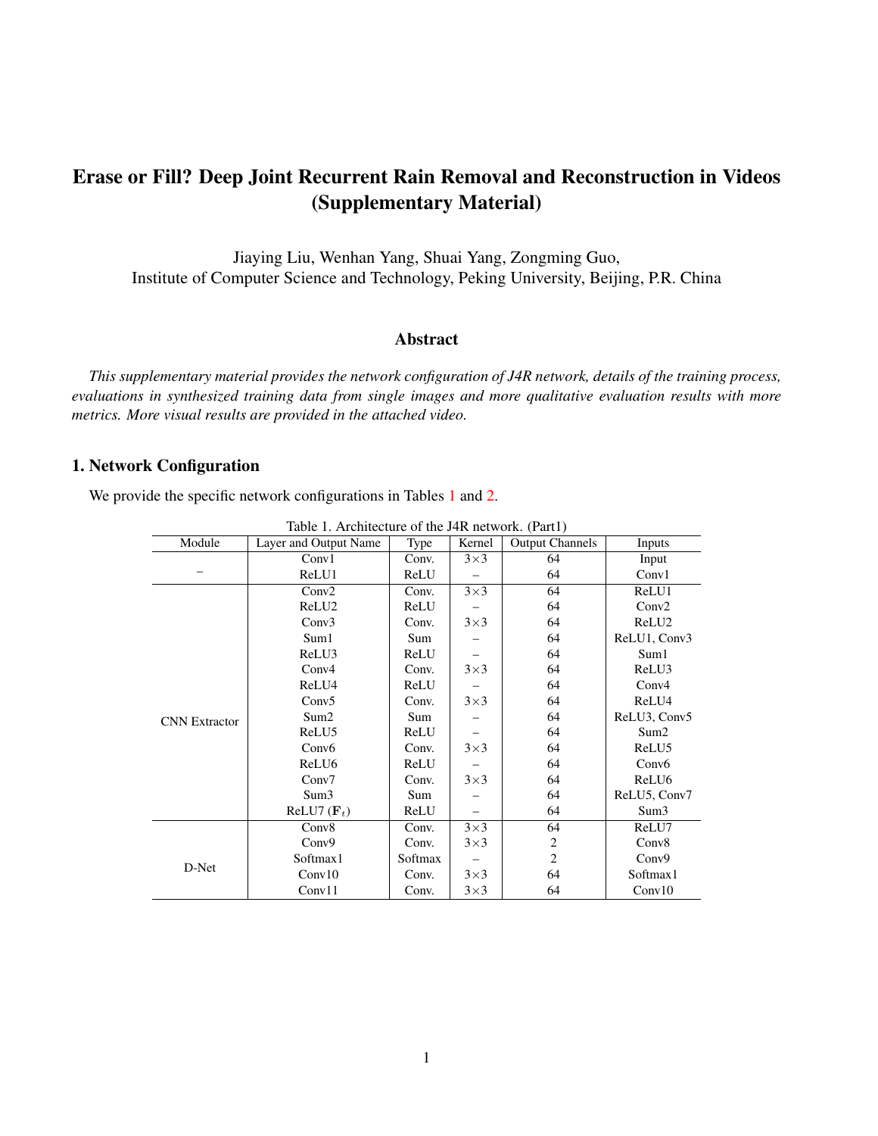# Erase or Fill? Deep Joint Recurrent Rain Removal and Reconstruction in Videos (Supplementary Material)

Jiaying Liu, Wenhan Yang, Shuai Yang, Zongming Guo, Institute of Computer Science and Technology, Peking University, Beijing, P.R. China

# Abstract

*This supplementary material provides the network configuration of J4R network, details of the training process, evaluations in synthesized training data from single images and more qualitative evaluation results with more metrics. More visual results are provided in the attached video.*

# 1. Network Configuration

We provide the specific network configurations in Tables [1](#page-0-0) and [2.](#page-1-0)

| Module               | able 1. The integrate of the $\theta$ in her work. (Tarti)<br>Layer and Output Name | Type    | Kernel     | <b>Output Channels</b> | Inputs            |  |  |
|----------------------|-------------------------------------------------------------------------------------|---------|------------|------------------------|-------------------|--|--|
|                      | Conv1                                                                               | Conv.   | $3\times3$ | 64                     | Input             |  |  |
|                      | ReLU1                                                                               | ReLU    |            | 64                     | Conv1             |  |  |
|                      | Conv2                                                                               | Conv.   | $3\times3$ | 64                     | ReLU1             |  |  |
|                      | ReLU <sub>2</sub>                                                                   | ReLU    |            | 64                     | Conv2             |  |  |
|                      | Conv3                                                                               | Conv.   | $3\times3$ | 64                     | ReLU <sub>2</sub> |  |  |
|                      | Sum1                                                                                | Sum     |            | 64                     | ReLU1, Conv3      |  |  |
| <b>CNN</b> Extractor | ReLU3                                                                               | ReLU    |            | 64                     | Sum1              |  |  |
|                      | Conv4                                                                               | Conv.   | $3\times3$ | 64                     | ReLU3             |  |  |
|                      | ReLU4                                                                               | ReLU    |            | 64                     | Conv <sub>4</sub> |  |  |
|                      | Conv5                                                                               | Conv.   | $3\times3$ | 64                     | ReLU4             |  |  |
|                      | Sum2                                                                                | Sum     |            | 64                     | ReLU3, Conv5      |  |  |
|                      | ReLU5                                                                               | ReLU    |            | 64                     | Sum <sub>2</sub>  |  |  |
|                      | Conv <sub>6</sub>                                                                   | Conv.   | $3\times3$ | 64                     | ReLU5             |  |  |
|                      | ReLU <sub>6</sub>                                                                   | ReLU    |            | 64                     | Conv <sub>6</sub> |  |  |
|                      | Conv7                                                                               | Conv.   | $3\times3$ | 64                     | ReLU6             |  |  |
|                      | Sum3                                                                                | Sum     |            | 64                     | ReLU5, Conv7      |  |  |
|                      | ReLU7 $(\mathbf{F}_t)$                                                              | ReLU    |            | 64                     | Sum3              |  |  |
| D-Net                | Conv8                                                                               | Conv.   | $3\times3$ | 64                     | ReLU7             |  |  |
|                      | Conv9                                                                               | Conv.   | $3\times3$ | 2                      | Conv8             |  |  |
|                      | Softmax1                                                                            | Softmax |            | $\overline{2}$         | Conv9             |  |  |
|                      | Conv10                                                                              | Conv.   | $3\times3$ | 64                     | Softmax1          |  |  |
|                      | Conv11                                                                              | Conv.   | $3\times3$ | 64                     | Conv10            |  |  |

<span id="page-0-0"></span>Table 1. Architecture of the J4R network. (Part1)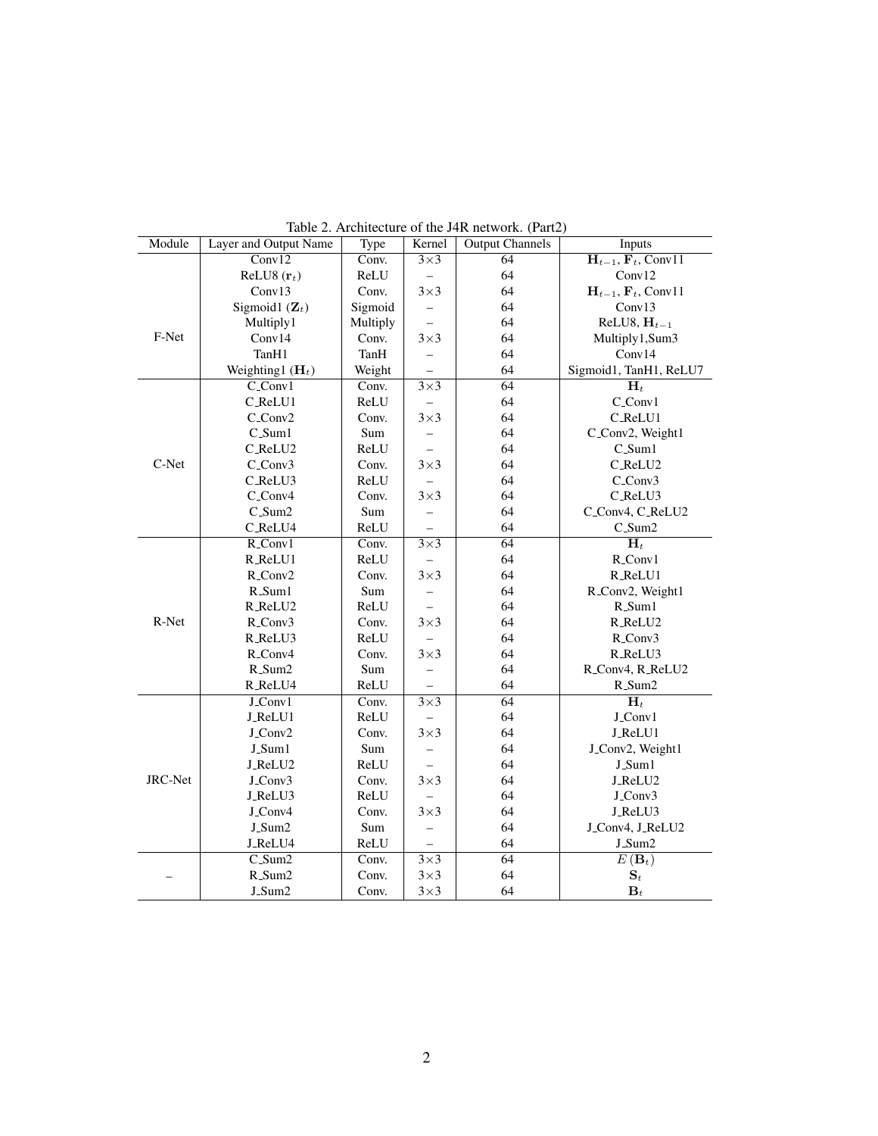| Module         | Layer and Output Name  | Table 2. Alemeeting of the $J + K$ fielwork. (Fartz)<br><b>Output Channels</b><br>Type<br>Kernel<br>Inputs |                       |                 |                                                              |  |
|----------------|------------------------|------------------------------------------------------------------------------------------------------------|-----------------------|-----------------|--------------------------------------------------------------|--|
|                | Conv12                 | Conv.                                                                                                      | $3\times3$            | 64              | $\overline{\mathbf{H}_{t-1}, \mathbf{F}_{t}, \text{Conv11}}$ |  |
|                | ReLU8 $(\mathbf{r}_t)$ | ReLU                                                                                                       | $\equiv$              | 64              | Conv12                                                       |  |
|                |                        |                                                                                                            |                       |                 |                                                              |  |
|                | Conv13                 | Conv.                                                                                                      | $3\times3$            | 64              | $H_{t-1}$ , $F_t$ , Conv11                                   |  |
|                | Sigmoid1 $(Z_t)$       | Sigmoid                                                                                                    |                       | 64              | Conv13                                                       |  |
|                | Multiply1              | Multiply                                                                                                   |                       | 64              | ReLU8, $H_{t-1}$                                             |  |
| F-Net          | Conv14                 | Conv.                                                                                                      | $3\times3$            | 64              | Multiply1,Sum3                                               |  |
|                | TanH1                  | TanH                                                                                                       |                       | 64              | Conv14                                                       |  |
|                | Weighting1 $(H_t)$     | Weight                                                                                                     |                       | 64              | Sigmoid1, TanH1, ReLU7                                       |  |
|                | $C_{\text{conv1}}$     | Conv.                                                                                                      | $\overline{3\times3}$ | 64              | $\overline{\mathbf{H}_t}$                                    |  |
|                | C_ReLU1                | ReLU                                                                                                       |                       | 64              | C_Conv1                                                      |  |
|                | C_Conv2                | Conv.                                                                                                      | $3\times3$            | 64              | C_ReLU1                                                      |  |
|                | $C\_Sum1$              | Sum                                                                                                        |                       | 64              | C_Conv2, Weight1                                             |  |
|                | C_ReLU2                | ReLU                                                                                                       |                       | 64              | $C_Sum1$                                                     |  |
| C-Net          | $C_{\text{conv3}}$     | Conv.                                                                                                      | $3\times3$            | 64              | C_ReLU2                                                      |  |
|                | C_ReLU3                | ReLU                                                                                                       |                       | 64              | C_Conv3                                                      |  |
|                | C_Conv4                | Conv.                                                                                                      | $3\times3$            | 64              | C_ReLU3                                                      |  |
|                | $C_{\text{-}Sum2}$     | Sum                                                                                                        |                       | 64              | C_Conv4, C_ReLU2                                             |  |
|                | C_ReLU4                | ReLU                                                                                                       |                       | 64              | $C_{\text{-}Sum2}$                                           |  |
|                | $R_{\text{1}}$ Conv1   | Conv.                                                                                                      | $3\times3$            | 64              | $\overline{\mathbf{H}_t}$                                    |  |
| R-Net          | R_ReLU1                | ReLU                                                                                                       |                       | 64              | R_Conv1                                                      |  |
|                | R_Conv2                | Conv.                                                                                                      | $3\times3$            | 64              | R_ReLU1                                                      |  |
|                | R_Sum1                 | Sum                                                                                                        |                       | 64              | R_Conv2, Weight1                                             |  |
|                | R_ReLU2                | ReLU                                                                                                       |                       | 64              | R_Sum1                                                       |  |
|                | R_Conv3                | Conv.                                                                                                      | $3\times3$            | 64              | R_ReLU2                                                      |  |
|                | R_ReLU3                | ReLU                                                                                                       |                       | 64              | R_Conv3                                                      |  |
|                | R_Conv4                | Conv.                                                                                                      | $3\times3$            | 64              | R_ReLU3                                                      |  |
|                | R_Sum2                 | Sum                                                                                                        |                       | 64              | R_Conv4, R_ReLU2                                             |  |
|                | R_ReLU4                | ReLU                                                                                                       |                       | 64              | R_Sum2                                                       |  |
|                | J_Conv1                | Conv.                                                                                                      | $\overline{3\times3}$ | 64              | $\overline{\mathbf{H}_t}$                                    |  |
| <b>JRC-Net</b> | J_ReLU1                | ReLU                                                                                                       |                       | 64              | J_Conv1                                                      |  |
|                | J_Conv2                | Conv.                                                                                                      | $3\times3$            | 64              | J_ReLU1                                                      |  |
|                | J_Sum1                 | Sum                                                                                                        |                       | 64              | J_Conv2, Weight1                                             |  |
|                | J_ReLU2                | ReLU                                                                                                       |                       | 64              | J_Sum1                                                       |  |
|                | J_Conv3                | Conv.                                                                                                      | $3\times3$            | 64              | J_ReLU2                                                      |  |
|                | J_ReLU3                | ReLU                                                                                                       |                       | 64              | J_Conv3                                                      |  |
|                | J_Conv4                | Conv.                                                                                                      | $3\times3$            | 64              | J_ReLU3                                                      |  |
|                | J_Sum2                 | Sum                                                                                                        |                       | 64              | J_Conv4, J_ReLU2                                             |  |
|                | J_ReLU4                | ReLU                                                                                                       |                       | 64              | J_Sum2                                                       |  |
|                |                        |                                                                                                            |                       |                 |                                                              |  |
|                | $C_{\text{sum2}}$      | Conv.                                                                                                      | $\overline{3\times3}$ | $\overline{64}$ | $E(\mathbf{B}_t)$                                            |  |
|                | R_Sum2                 | Conv.                                                                                                      | $3\times3$            | 64              | $\mathbf{S}_t$                                               |  |
|                | J_Sum2                 | Conv.                                                                                                      | $3\times3$            | 64              | $\mathbf{B}_t$                                               |  |

<span id="page-1-0"></span>Table 2. Architecture of the J4R network. (Part2)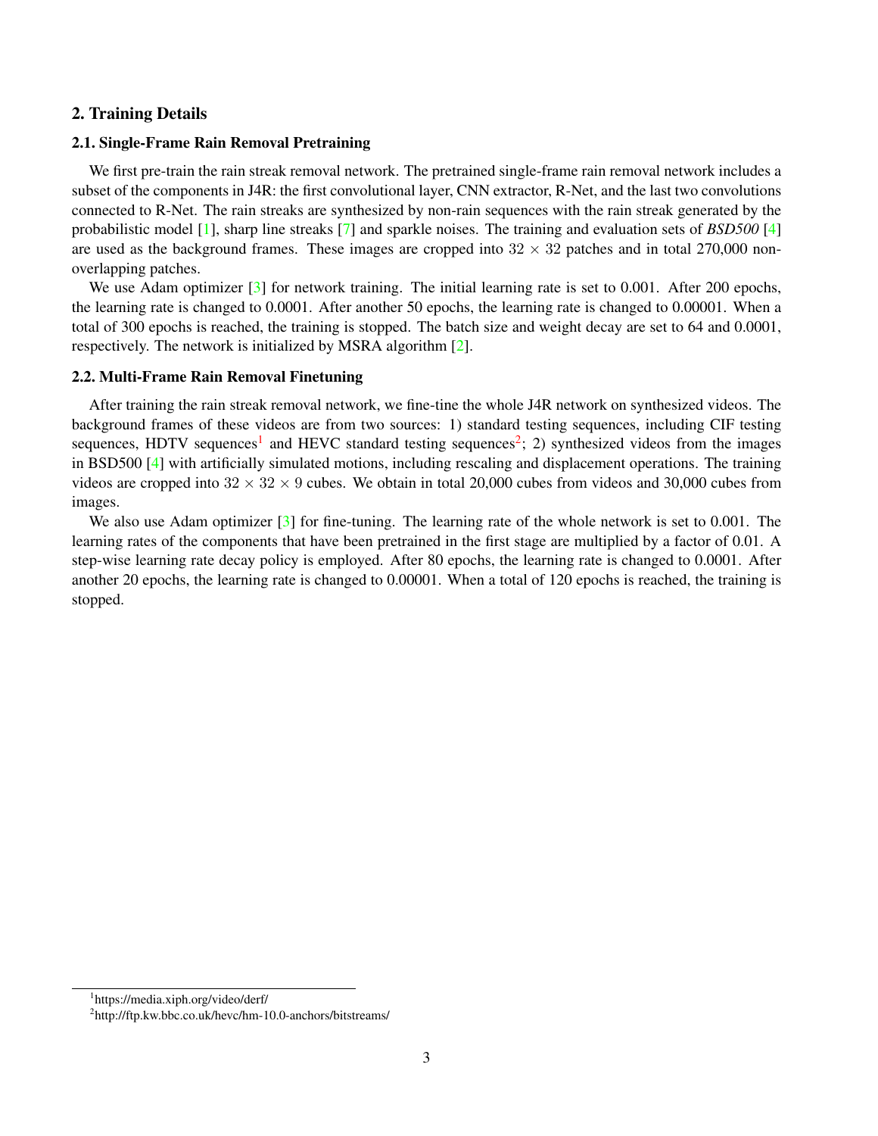# <span id="page-2-2"></span>2. Training Details

#### 2.1. Single-Frame Rain Removal Pretraining

We first pre-train the rain streak removal network. The pretrained single-frame rain removal network includes a subset of the components in J4R: the first convolutional layer, CNN extractor, R-Net, and the last two convolutions connected to R-Net. The rain streaks are synthesized by non-rain sequences with the rain streak generated by the probabilistic model [\[1\]](#page-3-0), sharp line streaks [\[7\]](#page-4-0) and sparkle noises. The training and evaluation sets of *BSD500* [\[4\]](#page-4-1) are used as the background frames. These images are cropped into  $32 \times 32$  patches and in total 270,000 nonoverlapping patches.

We use Adam optimizer [\[3\]](#page-3-1) for network training. The initial learning rate is set to 0.001. After 200 epochs, the learning rate is changed to 0.0001. After another 50 epochs, the learning rate is changed to 0.00001. When a total of 300 epochs is reached, the training is stopped. The batch size and weight decay are set to 64 and 0.0001, respectively. The network is initialized by MSRA algorithm [\[2\]](#page-3-2).

#### 2.2. Multi-Frame Rain Removal Finetuning

After training the rain streak removal network, we fine-tine the whole J4R network on synthesized videos. The background frames of these videos are from two sources: 1) standard testing sequences, including CIF testing sequences, HDTV sequences<sup>[1](#page-2-0)</sup> and HEVC standard testing sequences<sup>[2](#page-2-1)</sup>; 2) synthesized videos from the images in BSD500 [\[4\]](#page-4-1) with artificially simulated motions, including rescaling and displacement operations. The training videos are cropped into  $32 \times 32 \times 9$  cubes. We obtain in total 20,000 cubes from videos and 30,000 cubes from images.

We also use Adam optimizer  $\lceil 3 \rceil$  for fine-tuning. The learning rate of the whole network is set to 0.001. The learning rates of the components that have been pretrained in the first stage are multiplied by a factor of 0.01. A step-wise learning rate decay policy is employed. After 80 epochs, the learning rate is changed to 0.0001. After another 20 epochs, the learning rate is changed to 0.00001. When a total of 120 epochs is reached, the training is stopped.

<span id="page-2-0"></span><sup>1</sup> https://media.xiph.org/video/derf/

<span id="page-2-1"></span><sup>&</sup>lt;sup>2</sup>http://ftp.kw.bbc.co.uk/hevc/hm-10.0-anchors/bitstreams/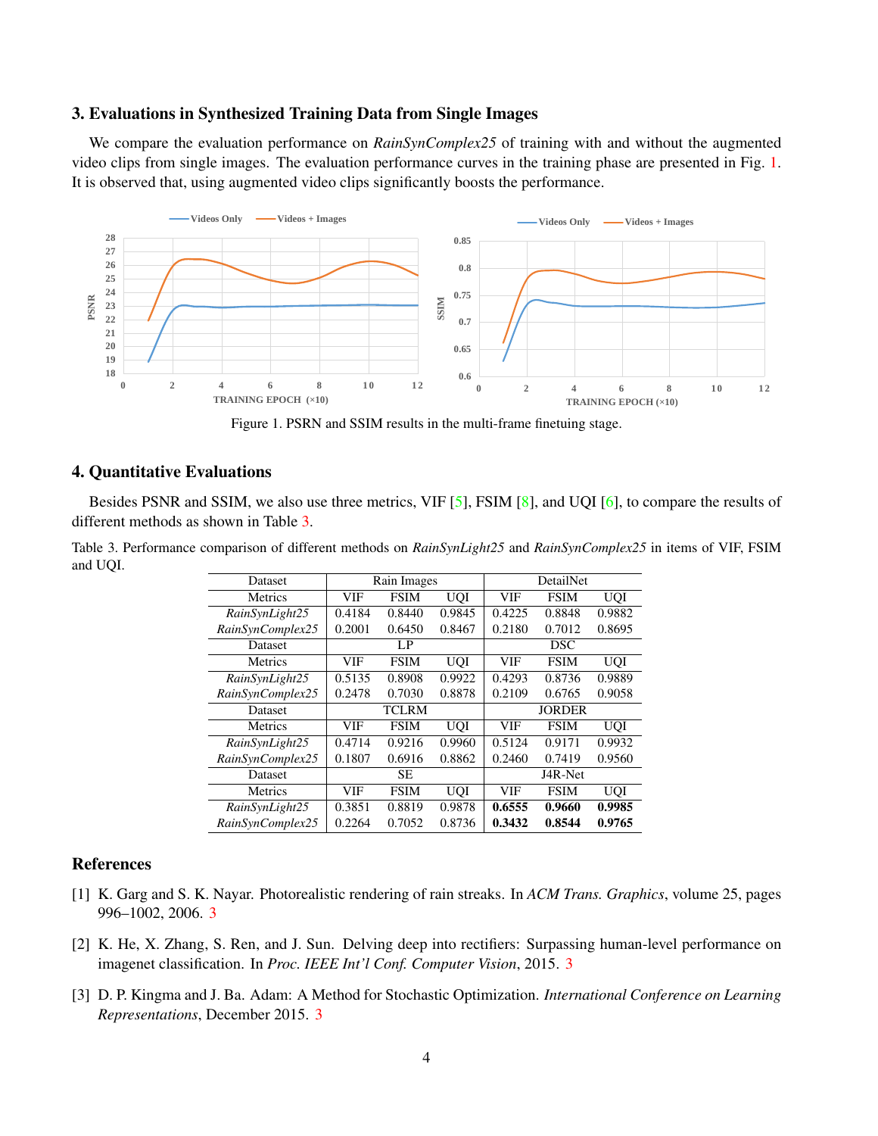## <span id="page-3-5"></span>3. Evaluations in Synthesized Training Data from Single Images

We compare the evaluation performance on *RainSynComplex25* of training with and without the augmented video clips from single images. The evaluation performance curves in the training phase are presented in Fig. [1.](#page-3-3) It is observed that, using augmented video clips significantly boosts the performance.



<span id="page-3-3"></span>Figure 1. PSRN and SSIM results in the multi-frame finetuing stage.

## 4. Quantitative Evaluations

Besides PSNR and SSIM, we also use three metrics, VIF [\[5\]](#page-4-2), FSIM [\[8\]](#page-4-3), and UQI [\[6\]](#page-4-4), to compare the results of different methods as shown in Table [3.](#page-3-4)

<span id="page-3-4"></span>Table 3. Performance comparison of different methods on *RainSynLight25* and *RainSynComplex25* in items of VIF, FSIM and UQI.

| Dataset          |              | Rain Images |            |               | <b>DetailNet</b> |            |  |
|------------------|--------------|-------------|------------|---------------|------------------|------------|--|
| <b>Metrics</b>   | VIF          | <b>FSIM</b> | <b>UQI</b> | VIF           | <b>FSIM</b>      | <b>UOI</b> |  |
| RainSynLight25   | 0.4184       | 0.8440      | 0.9845     | 0.4225        | 0.8848           | 0.9882     |  |
| RainSynComplex25 | 0.2001       | 0.6450      | 0.8467     | 0.2180        | 0.7012           | 0.8695     |  |
| Dataset          | LP           |             |            | <b>DSC</b>    |                  |            |  |
| <b>Metrics</b>   | VIF          | <b>FSIM</b> | <b>UQI</b> | VIF           | <b>FSIM</b>      | <b>UOI</b> |  |
| RainSynLight25   | 0.5135       | 0.8908      | 0.9922     | 0.4293        | 0.8736           | 0.9889     |  |
| RainSynComplex25 | 0.2478       | 0.7030      | 0.8878     | 0.2109        | 0.6765           | 0.9058     |  |
| Dataset          | <b>TCLRM</b> |             |            | <b>JORDER</b> |                  |            |  |
| <b>Metrics</b>   | VIF          | <b>FSIM</b> | <b>UOI</b> | VIF           | <b>FSIM</b>      | <b>UOI</b> |  |
| RainSynLight25   | 0.4714       | 0.9216      | 0.9960     | 0.5124        | 0.9171           | 0.9932     |  |
| RainSynComplex25 | 0.1807       | 0.6916      | 0.8862     | 0.2460        | 0.7419           | 0.9560     |  |
| Dataset          | <b>SE</b>    |             |            | J4R-Net       |                  |            |  |
| Metrics          | VIF          | <b>FSIM</b> | <b>UOI</b> | VIF           | <b>FSIM</b>      | <b>UOI</b> |  |
| RainSynLight25   | 0.3851       | 0.8819      | 0.9878     | 0.6555        | 0.9660           | 0.9985     |  |
| RainSynComplex25 | 0.2264       | 0.7052      | 0.8736     | 0.3432        | 0.8544           | 0.9765     |  |

## References

- <span id="page-3-0"></span>[1] K. Garg and S. K. Nayar. Photorealistic rendering of rain streaks. In *ACM Trans. Graphics*, volume 25, pages 996–1002, 2006. [3](#page-2-2)
- <span id="page-3-2"></span>[2] K. He, X. Zhang, S. Ren, and J. Sun. Delving deep into rectifiers: Surpassing human-level performance on imagenet classification. In *Proc. IEEE Int'l Conf. Computer Vision*, 2015. [3](#page-2-2)
- <span id="page-3-1"></span>[3] D. P. Kingma and J. Ba. Adam: A Method for Stochastic Optimization. *International Conference on Learning Representations*, December 2015. [3](#page-2-2)